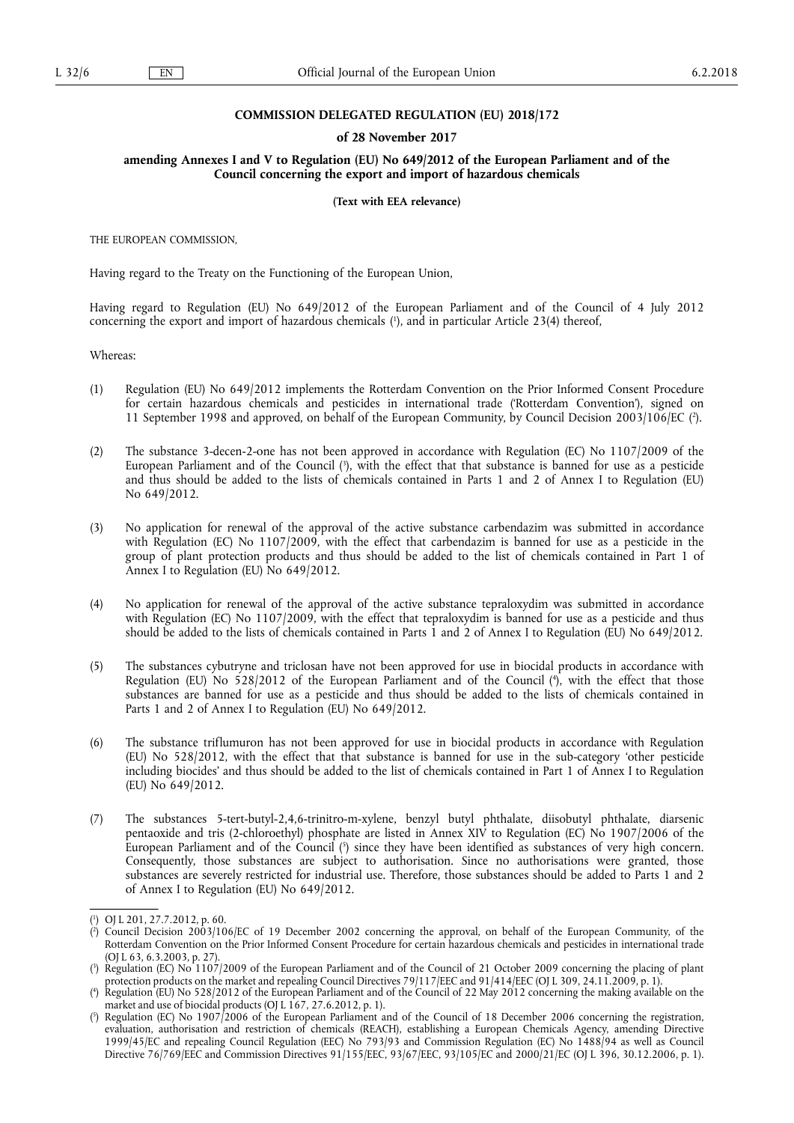#### **COMMISSION DELEGATED REGULATION (EU) 2018/172**

#### **of 28 November 2017**

#### **amending Annexes I and V to Regulation (EU) No 649/2012 of the European Parliament and of the Council concerning the export and import of hazardous chemicals**

#### **(Text with EEA relevance)**

THE EUROPEAN COMMISSION,

Having regard to the Treaty on the Functioning of the European Union,

Having regard to Regulation (EU) No 649/2012 of the European Parliament and of the Council of 4 July 2012 concerning the export and import of hazardous chemicals ( 1 ), and in particular Article 23(4) thereof,

Whereas:

- (1) Regulation (EU) No 649/2012 implements the Rotterdam Convention on the Prior Informed Consent Procedure for certain hazardous chemicals and pesticides in international trade ('Rotterdam Convention'), signed on 11 September 1998 and approved, on behalf of the European Community, by Council Decision 2003/106/EC ( 2 ).
- (2) The substance 3-decen-2-one has not been approved in accordance with Regulation (EC) No 1107/2009 of the European Parliament and of the Council (<sup>3</sup>), with the effect that that substance is banned for use as a pesticide and thus should be added to the lists of chemicals contained in Parts 1 and 2 of Annex I to Regulation (EU) No 649/2012.
- (3) No application for renewal of the approval of the active substance carbendazim was submitted in accordance with Regulation (EC) No 1107/2009, with the effect that carbendazim is banned for use as a pesticide in the group of plant protection products and thus should be added to the list of chemicals contained in Part 1 of Annex I to Regulation (EU) No 649/2012.
- (4) No application for renewal of the approval of the active substance tepraloxydim was submitted in accordance with Regulation (EC) No 1107/2009, with the effect that tepraloxydim is banned for use as a pesticide and thus should be added to the lists of chemicals contained in Parts 1 and 2 of Annex I to Regulation (EU) No 649/2012.
- (5) The substances cybutryne and triclosan have not been approved for use in biocidal products in accordance with Regulation (EU) No 528/2012 of the European Parliament and of the Council ( 4 ), with the effect that those substances are banned for use as a pesticide and thus should be added to the lists of chemicals contained in Parts 1 and 2 of Annex I to Regulation (EU) No 649/2012.
- (6) The substance triflumuron has not been approved for use in biocidal products in accordance with Regulation (EU) No 528/2012, with the effect that that substance is banned for use in the sub-category 'other pesticide including biocides' and thus should be added to the list of chemicals contained in Part 1 of Annex I to Regulation (EU) No 649/2012.
- (7) The substances 5-tert-butyl-2,4,6-trinitro-m-xylene, benzyl butyl phthalate, diisobutyl phthalate, diarsenic pentaoxide and tris (2-chloroethyl) phosphate are listed in Annex XIV to Regulation (EC) No 1907/2006 of the European Parliament and of the Council  $\binom{5}{2}$  since they have been identified as substances of very high concern. Consequently, those substances are subject to authorisation. Since no authorisations were granted, those substances are severely restricted for industrial use. Therefore, those substances should be added to Parts 1 and 2 of Annex I to Regulation (EU) No 649/2012.

<sup>(</sup> 1 ) OJ L 201, 27.7.2012, p. 60.

<sup>(</sup> 2 ) Council Decision 2003/106/EC of 19 December 2002 concerning the approval, on behalf of the European Community, of the Rotterdam Convention on the Prior Informed Consent Procedure for certain hazardous chemicals and pesticides in international trade (OJ L 63, 6.3.2003, p. 27).

<sup>(</sup> 3 ) Regulation (EC) No 1107/2009 of the European Parliament and of the Council of 21 October 2009 concerning the placing of plant protection products on the market and repealing Council Directives 79/117/EEC and 91/414/EEC (OJ L 309, 24.11.2009, p. 1).

<sup>(</sup> 4 ) Regulation (EU) No 528/2012 of the European Parliament and of the Council of 22 May 2012 concerning the making available on the market and use of biocidal products (OJ L 167, 27.6.2012, p. 1).

<sup>(</sup> 5 ) Regulation (EC) No 1907/2006 of the European Parliament and of the Council of 18 December 2006 concerning the registration, evaluation, authorisation and restriction of chemicals (REACH), establishing a European Chemicals Agency, amending Directive 1999/45/EC and repealing Council Regulation (EEC) No 793/93 and Commission Regulation (EC) No 1488/94 as well as Council Directive 76/769/EEC and Commission Directives 91/155/EEC, 93/67/EEC, 93/105/EC and 2000/21/EC (OJ L 396, 30.12.2006, p. 1).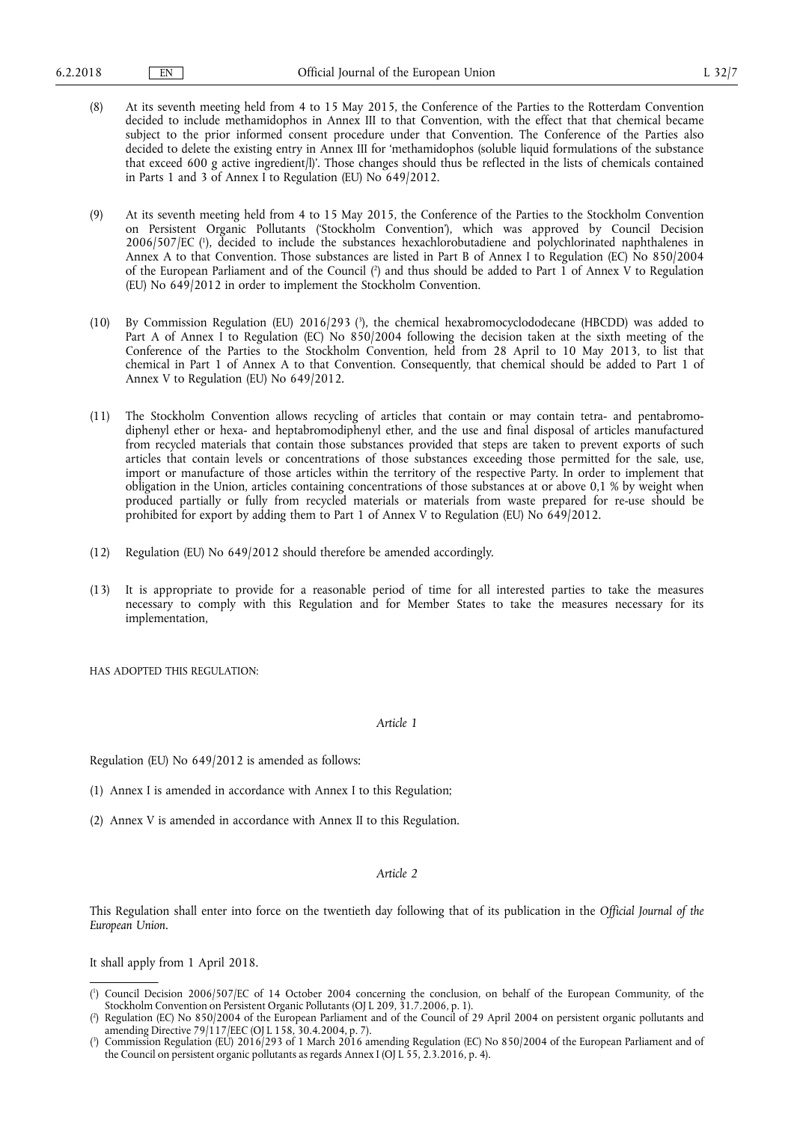- (8) At its seventh meeting held from 4 to 15 May 2015, the Conference of the Parties to the Rotterdam Convention decided to include methamidophos in Annex III to that Convention, with the effect that that chemical became subject to the prior informed consent procedure under that Convention. The Conference of the Parties also decided to delete the existing entry in Annex III for 'methamidophos (soluble liquid formulations of the substance that exceed 600 g active ingredient/l)'. Those changes should thus be reflected in the lists of chemicals contained in Parts 1 and 3 of Annex I to Regulation (EU) No 649/2012.
- (9) At its seventh meeting held from 4 to 15 May 2015, the Conference of the Parties to the Stockholm Convention on Persistent Organic Pollutants ('Stockholm Convention'), which was approved by Council Decision 2006/507/EC ( 1 ), decided to include the substances hexachlorobutadiene and polychlorinated naphthalenes in Annex A to that Convention. Those substances are listed in Part B of Annex I to Regulation (EC) No 850/2004 of the European Parliament and of the Council ( 2 ) and thus should be added to Part 1 of Annex V to Regulation (EU) No 649/2012 in order to implement the Stockholm Convention.
- (10) By Commission Regulation (EU) 2016/293 ( 3 ), the chemical hexabromocyclododecane (HBCDD) was added to Part A of Annex I to Regulation (EC) No 850/2004 following the decision taken at the sixth meeting of the Conference of the Parties to the Stockholm Convention, held from 28 April to 10 May 2013, to list that chemical in Part 1 of Annex A to that Convention. Consequently, that chemical should be added to Part 1 of Annex V to Regulation (EU) No 649/2012.
- (11) The Stockholm Convention allows recycling of articles that contain or may contain tetra- and pentabromodiphenyl ether or hexa- and heptabromodiphenyl ether, and the use and final disposal of articles manufactured from recycled materials that contain those substances provided that steps are taken to prevent exports of such articles that contain levels or concentrations of those substances exceeding those permitted for the sale, use, import or manufacture of those articles within the territory of the respective Party. In order to implement that obligation in the Union, articles containing concentrations of those substances at or above 0,1 % by weight when produced partially or fully from recycled materials or materials from waste prepared for re-use should be prohibited for export by adding them to Part 1 of Annex V to Regulation (EU) No 649/2012.
- (12) Regulation (EU) No 649/2012 should therefore be amended accordingly.
- (13) It is appropriate to provide for a reasonable period of time for all interested parties to take the measures necessary to comply with this Regulation and for Member States to take the measures necessary for its implementation,

HAS ADOPTED THIS REGULATION:

*Article 1* 

Regulation (EU) No 649/2012 is amended as follows:

- (1) Annex I is amended in accordance with Annex I to this Regulation;
- (2) Annex V is amended in accordance with Annex II to this Regulation.

#### *Article 2*

This Regulation shall enter into force on the twentieth day following that of its publication in the *Official Journal of the European Union*.

It shall apply from 1 April 2018.

<sup>(</sup> 1 ) Council Decision 2006/507/EC of 14 October 2004 concerning the conclusion, on behalf of the European Community, of the Stockholm Convention on Persistent Organic Pollutants (OJ L 209, 31.7.2006, p. 1).

<sup>(</sup> 2 ) Regulation (EC) No 850/2004 of the European Parliament and of the Council of 29 April 2004 on persistent organic pollutants and amending Directive 79/117/EEC (OJ L 158, 30.4.2004, p. 7).

<sup>(</sup> 3 ) Commission Regulation (EU) 2016/293 of 1 March 2016 amending Regulation (EC) No 850/2004 of the European Parliament and of the Council on persistent organic pollutants as regards Annex I (OJ L 55, 2.3.2016, p. 4).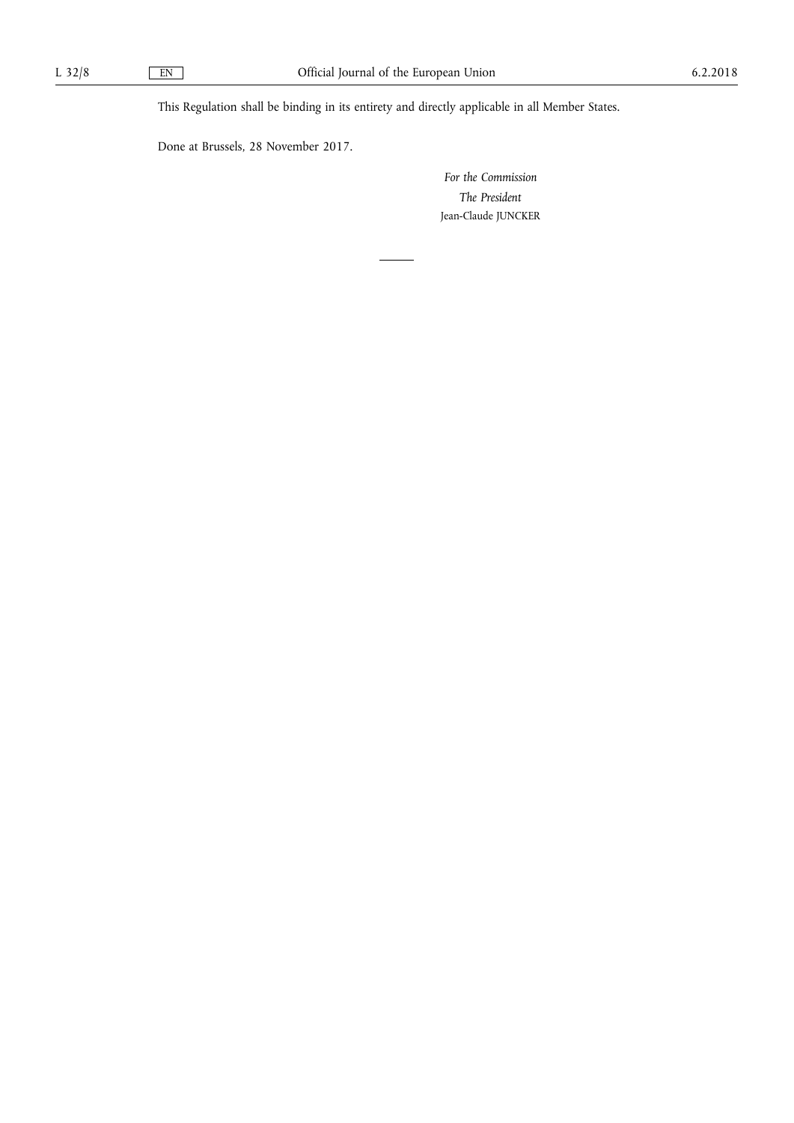This Regulation shall be binding in its entirety and directly applicable in all Member States.

Done at Brussels, 28 November 2017.

*For the Commission The President*  Jean-Claude JUNCKER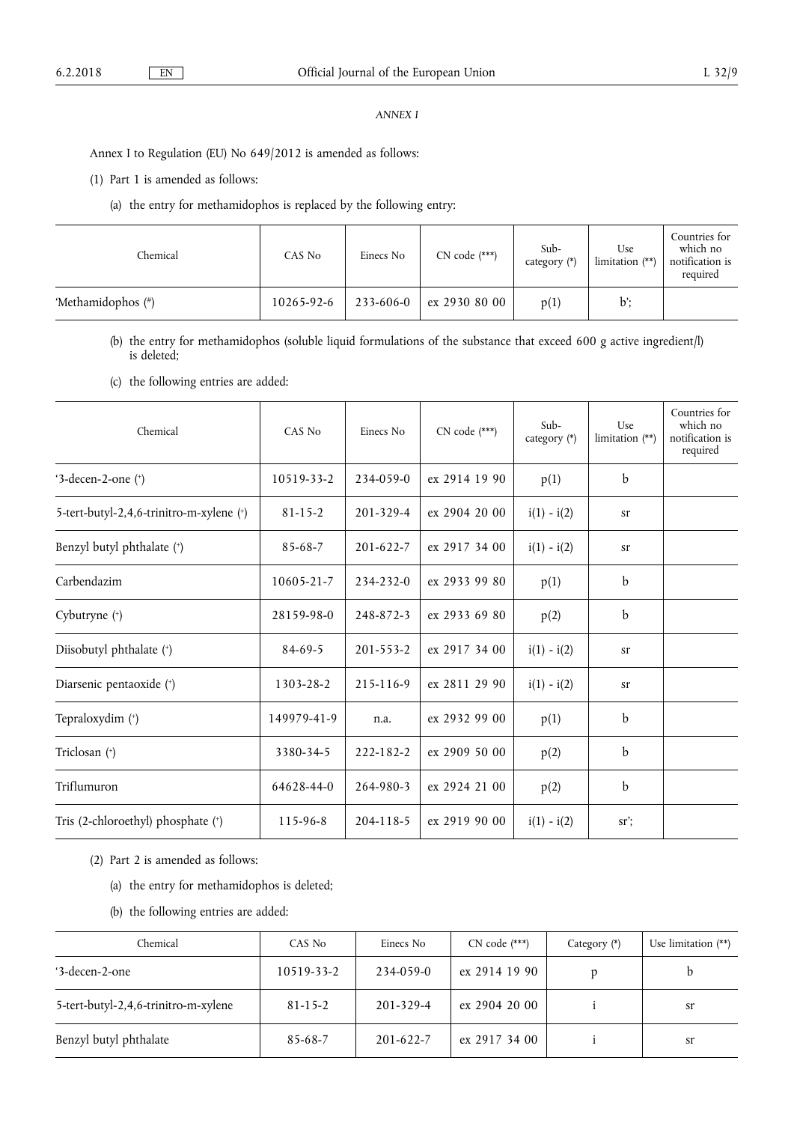### *ANNEX I*

Annex I to Regulation (EU) No 649/2012 is amended as follows:

(1) Part 1 is amended as follows:

(a) the entry for methamidophos is replaced by the following entry:

| Chemical           | CAS No     | Einecs No | $CN code$ (***) | Sub-<br>category (*) | Use<br>limitation $(**)$ | Countries for<br>which no<br>notification is<br>required |
|--------------------|------------|-----------|-----------------|----------------------|--------------------------|----------------------------------------------------------|
| 'Methamidophos (#) | 10265-92-6 | 233-606-0 | ex 2930 80 00   | p(1)                 | $\mathbf{b}$ :           |                                                          |

(b) the entry for methamidophos (soluble liquid formulations of the substance that exceed 600 g active ingredient/l) is deleted;

(c) the following entries are added:

| Chemical                                 | CAS No        | Einecs No       | $CN code$ (***) | Sub-<br>category (*) | Use<br>limitation $(**)$ | Countries for<br>which no<br>notification is<br>required |
|------------------------------------------|---------------|-----------------|-----------------|----------------------|--------------------------|----------------------------------------------------------|
| '3-decen-2-one $(*)$                     | 10519-33-2    | 234-059-0       | ex 2914 19 90   | p(1)                 | $\mathbf b$              |                                                          |
| 5-tert-butyl-2,4,6-trinitro-m-xylene (*) | $81 - 15 - 2$ | $201 - 329 - 4$ | ex 2904 20 00   | $i(1) - i(2)$        | sr                       |                                                          |
| Benzyl butyl phthalate (*)               | $85-68-7$     | $201 - 622 - 7$ | ex 2917 34 00   | $i(1) - i(2)$        | sr                       |                                                          |
| Carbendazim                              | 10605-21-7    | 234-232-0       | ex 2933 99 80   | p(1)                 | b                        |                                                          |
| Cybutryne (*)                            | 28159-98-0    | 248-872-3       | ex 2933 69 80   | p(2)                 | b                        |                                                          |
| Diisobutyl phthalate (*)                 | $84 - 69 - 5$ | $201 - 553 - 2$ | ex 2917 34 00   | $i(1) - i(2)$        | sr                       |                                                          |
| Diarsenic pentaoxide (+)                 | 1303-28-2     | 215-116-9       | ex 2811 29 90   | $i(1) - i(2)$        | sr                       |                                                          |
| Tepraloxydim (*)                         | 149979-41-9   | n.a.            | ex 2932 99 00   | p(1)                 | b                        |                                                          |
| Triclosan (+)                            | 3380-34-5     | 222-182-2       | ex 2909 50 00   | p(2)                 | b                        |                                                          |
| Triflumuron                              | 64628-44-0    | 264-980-3       | ex 2924 21 00   | p(2)                 | $\mathbf b$              |                                                          |
| Tris (2-chloroethyl) phosphate (*)       | 115-96-8      | 204-118-5       | ex 2919 90 00   | $i(1) - i(2)$        | sr                       |                                                          |

(2) Part 2 is amended as follows:

- (a) the entry for methamidophos is deleted;
- (b) the following entries are added:

| Chemical                             | CAS No        | Einecs No       | $CN code$ (***) | Category $(*)$ | Use limitation $(**)$ |
|--------------------------------------|---------------|-----------------|-----------------|----------------|-----------------------|
| '3-decen-2-one                       | 10519-33-2    | 234-059-0       | ex 2914 19 90   |                |                       |
| 5-tert-butyl-2,4,6-trinitro-m-xylene | $81 - 15 - 2$ | $201 - 329 - 4$ | ex 2904 20 00   |                | sr                    |
| Benzyl butyl phthalate               | $85 - 68 - 7$ | $201 - 622 - 7$ | ex 2917 34 00   |                | sr                    |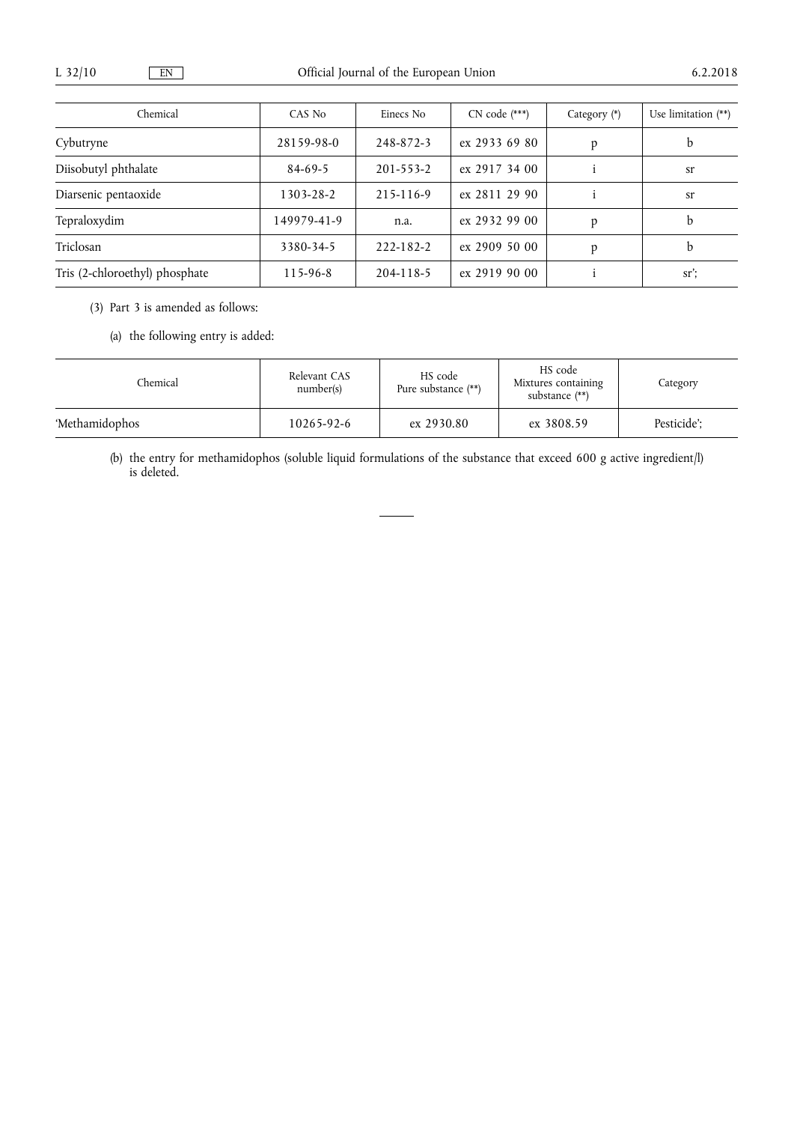| Chemical                       | CAS No         | Einecs No       | $CN code$ (***) | Category $(*)$ | Use limitation $(**)$ |
|--------------------------------|----------------|-----------------|-----------------|----------------|-----------------------|
| Cybutryne                      | 28159-98-0     | 248-872-3       | ex 2933 69 80   | D              | b                     |
| Diisobutyl phthalate           | $84-69-5$      | $201 - 553 - 2$ | ex 2917 34 00   |                | sr                    |
| Diarsenic pentaoxide           | 1303-28-2      | 215-116-9       | ex 2811 29 90   |                | sr                    |
| Tepraloxydim                   | 149979-41-9    | n.a.            | ex 2932 99 00   |                | h                     |
| Triclosan                      | 3380-34-5      | 222-182-2       | $ex$ 2909 50 00 |                | h                     |
| Tris (2-chloroethyl) phosphate | $115 - 96 - 8$ | 204-118-5       | $ex$ 2919 90 00 |                | $sr$ :                |

(3) Part 3 is amended as follows:

(a) the following entry is added:

| Chemical       | Relevant CAS<br>number(s) | HS code<br>Pure substance (**) | HS code<br>Mixtures containing<br>substance $(**)$ | Category    |
|----------------|---------------------------|--------------------------------|----------------------------------------------------|-------------|
| 'Methamidophos | 10265-92-6                | ex 2930.80                     | ex 3808.59                                         | Pesticide': |

(b) the entry for methamidophos (soluble liquid formulations of the substance that exceed 600 g active ingredient/l) is deleted.